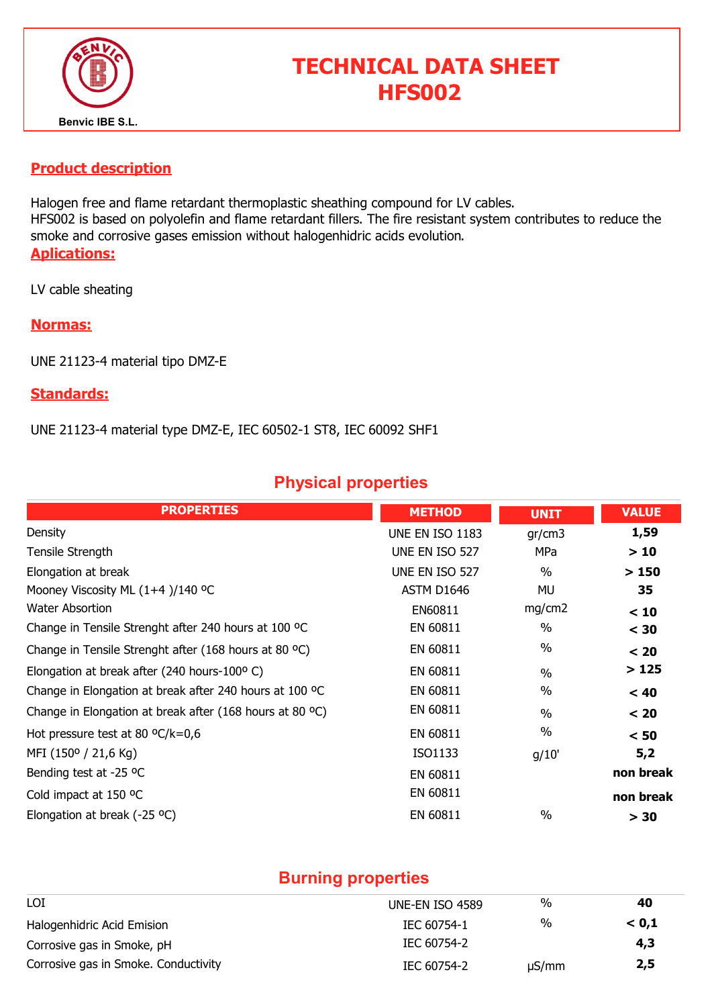

# TECHNICAL DATA SHEET HFS002

#### Product description

Halogen free and flame retardant thermoplastic sheathing compound for LV cables. HFS002 is based on polyolefin and flame retardant fillers. The fire resistant system contributes to reduce the smoke and corrosive gases emission without halogenhidric acids evolution. Aplications:

LV cable sheating

#### Normas:

UNE 21123-4 material tipo DMZ-E

#### Standards:

UNE 21123-4 material type DMZ-E, IEC 60502-1 ST8, IEC 60092 SHF1

## Physical properties

| <b>PROPERTIES</b>                                        | <b>METHOD</b>   | <b>UNIT</b>   | <b>VALUE</b> |
|----------------------------------------------------------|-----------------|---------------|--------------|
| Density                                                  | UNE EN ISO 1183 | gr/cm3        | 1,59         |
| Tensile Strength                                         | UNE EN ISO 527  | MPa           | >10          |
| Elongation at break                                      | UNE EN ISO 527  | $\%$          | >150         |
| Mooney Viscosity ML (1+4)/140 °C                         | ASTM D1646      | MU            | 35           |
| <b>Water Absortion</b>                                   | EN60811         | mg/cm2        | < 10         |
| Change in Tensile Strenght after 240 hours at 100 °C     | EN 60811        | $\frac{0}{0}$ | $<$ 30       |
| Change in Tensile Strenght after (168 hours at 80 °C)    | EN 60811        | $\%$          | < 20         |
| Elongation at break after (240 hours-100°C)              | EN 60811        | $\frac{0}{0}$ | >125         |
| Change in Elongation at break after 240 hours at 100 °C  | EN 60811        | $\%$          | < 40         |
| Change in Elongation at break after (168 hours at 80 °C) | EN 60811        | $\frac{0}{0}$ | < 20         |
| Hot pressure test at 80 $^{\circ}$ C/k=0,6               | EN 60811        | $\%$          | < 50         |
| MFI (150° / 21,6 Kg)                                     | ISO1133         | g/10'         | 5,2          |
| Bending test at -25 °C                                   | EN 60811        |               | non break    |
| Cold impact at 150 °C                                    | EN 60811        |               | non break    |
| Elongation at break (-25 °C)                             | EN 60811        | $\frac{0}{0}$ | > 30         |

### Burning properties

| LOI                                  | UNE-EN ISO 4589 | %          | 40    |
|--------------------------------------|-----------------|------------|-------|
| Halogenhidric Acid Emision           | IEC 60754-1     | $\%$       | < 0.1 |
| Corrosive gas in Smoke, pH           | IEC 60754-2     |            | 4,3   |
| Corrosive gas in Smoke. Conductivity | IEC 60754-2     | $\mu S/mm$ | 2,5   |